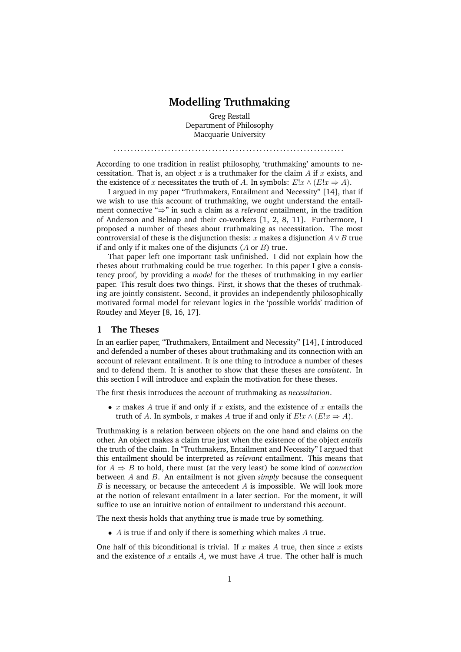# **Modelling Truthmaking**

Greg Restall Department of Philosophy Macquarie University

. . . . . . . . . . . . . . . . . . . . . . . . . . . . . . . . . . . . . . . . . . . . . . . . . . . . . . . . . . . . . . . . . . . .

According to one tradition in realist philosophy, 'truthmaking' amounts to necessitation. That is, an object  $x$  is a truthmaker for the claim  $A$  if  $x$  exists, and the existence of x necessitates the truth of A. In symbols:  $E:x \wedge (E:x \Rightarrow A)$ .

I argued in my paper "Truthmakers, Entailment and Necessity" [14], that if we wish to use this account of truthmaking, we ought understand the entailment connective "⇒" in such a claim as a *relevant* entailment, in the tradition of Anderson and Belnap and their co-workers [1, 2, 8, 11]. Furthermore, I proposed a number of theses about truthmaking as necessitation. The most controversial of these is the disjunction thesis: x makes a disjunction  $A \vee B$  true if and only if it makes one of the disjuncts  $(A \text{ or } B)$  true.

That paper left one important task unfinished. I did not explain how the theses about truthmaking could be true together. In this paper I give a consistency proof, by providing a *model* for the theses of truthmaking in my earlier paper. This result does two things. First, it shows that the theses of truthmaking are jointly consistent. Second, it provides an independently philosophically motivated formal model for relevant logics in the 'possible worlds' tradition of Routley and Meyer [8, 16, 17].

### **1 The Theses**

In an earlier paper, "Truthmakers, Entailment and Necessity" [14], I introduced and defended a number of theses about truthmaking and its connection with an account of relevant entailment. It is one thing to introduce a number of theses and to defend them. It is another to show that these theses are *consistent*. In this section I will introduce and explain the motivation for these theses.

The first thesis introduces the account of truthmaking as *necessitation*.

•  $x$  makes  $A$  true if and only if  $x$  exists, and the existence of  $x$  entails the truth of A. In symbols, x makes A true if and only if  $E!x \wedge (E!x \Rightarrow A)$ .

Truthmaking is a relation between objects on the one hand and claims on the other. An object makes a claim true just when the existence of the object *entails* the truth of the claim. In "Truthmakers, Entailment and Necessity" I argued that this entailment should be interpreted as *relevant* entailment. This means that for  $A \Rightarrow B$  to hold, there must (at the very least) be some kind of *connection* between A and B. An entailment is not given *simply* because the consequent  $B$  is necessary, or because the antecedent  $A$  is impossible. We will look more at the notion of relevant entailment in a later section. For the moment, it will suffice to use an intuitive notion of entailment to understand this account.

The next thesis holds that anything true is made true by something.

 $\bullet$  A is true if and only if there is something which makes A true.

One half of this biconditional is trivial. If x makes A true, then since x exists and the existence of x entails A, we must have A true. The other half is much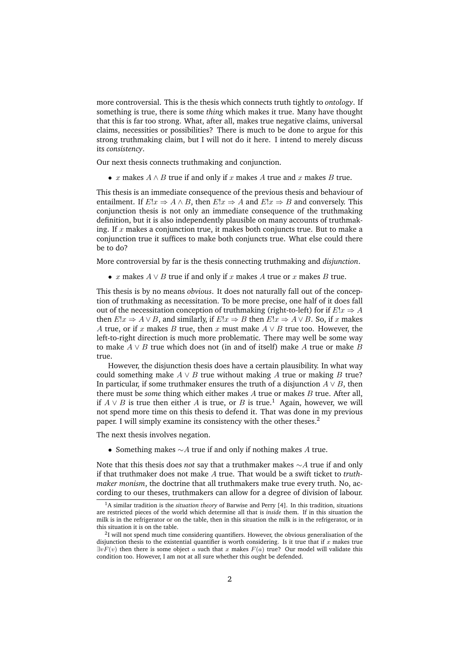more controversial. This is the thesis which connects truth tightly to *ontology*. If something is true, there is some *thing* which makes it true. Many have thought that this is far too strong. What, after all, makes true negative claims, universal claims, necessities or possibilities? There is much to be done to argue for this strong truthmaking claim, but I will not do it here. I intend to merely discuss its *consistency*.

Our next thesis connects truthmaking and conjunction.

• x makes  $A \wedge B$  true if and only if x makes A true and x makes B true.

This thesis is an immediate consequence of the previous thesis and behaviour of entailment. If  $E!x \Rightarrow A \wedge B$ , then  $E!x \Rightarrow A$  and  $E!x \Rightarrow B$  and conversely. This conjunction thesis is not only an immediate consequence of the truthmaking definition, but it is also independently plausible on many accounts of truthmaking. If  $x$  makes a conjunction true, it makes both conjuncts true. But to make a conjunction true it suffices to make both conjuncts true. What else could there be to do?

More controversial by far is the thesis connecting truthmaking and *disjunction*.

• x makes  $A \vee B$  true if and only if x makes A true or x makes B true.

This thesis is by no means *obvious*. It does not naturally fall out of the conception of truthmaking as necessitation. To be more precise, one half of it does fall out of the necessitation conception of truthmaking (right-to-left) for if  $E!x \Rightarrow A$ then  $E!x \Rightarrow A \vee B$ , and similarly, if  $E!x \Rightarrow B$  then  $E!x \Rightarrow A \vee B$ . So, if x makes A true, or if x makes B true, then x must make  $A \vee B$  true too. However, the left-to-right direction is much more problematic. There may well be some way to make  $A \vee B$  true which does not (in and of itself) make A true or make B true.

However, the disjunction thesis does have a certain plausibility. In what way could something make  $A \vee B$  true without making A true or making B true? In particular, if some truthmaker ensures the truth of a disjunction  $A \vee B$ , then there must be *some* thing which either makes A true or makes B true. After all, if  $A \vee B$  is true then either A is true, or B is true.<sup>1</sup> Again, however, we will not spend more time on this thesis to defend it. That was done in my previous paper. I will simply examine its consistency with the other theses.<sup>2</sup>

The next thesis involves negation.

• Something makes  $\sim$  A true if and only if nothing makes A true.

Note that this thesis does *not* say that a truthmaker makes ∼A true if and only if that truthmaker does not make A true. That would be a swift ticket to *truthmaker monism*, the doctrine that all truthmakers make true every truth. No, according to our theses, truthmakers can allow for a degree of division of labour.

<sup>1</sup>A similar tradition is the *situation theory* of Barwise and Perry [4]. In this tradition, situations are restricted pieces of the world which determine all that is *inside* them. If in this situation the milk is in the refrigerator or on the table, then in this situation the milk is in the refrigerator, or in this situation it is on the table.

<sup>&</sup>lt;sup>2</sup>I will not spend much time considering quantifiers. However, the obvious generalisation of the disjunction thesis to the existential quantifier is worth considering. Is it true that if  $x$  makes true  $\exists v F(v)$  then there is some object a such that x makes  $F(a)$  true? Our model will validate this condition too. However, I am not at all sure whether this ought be defended.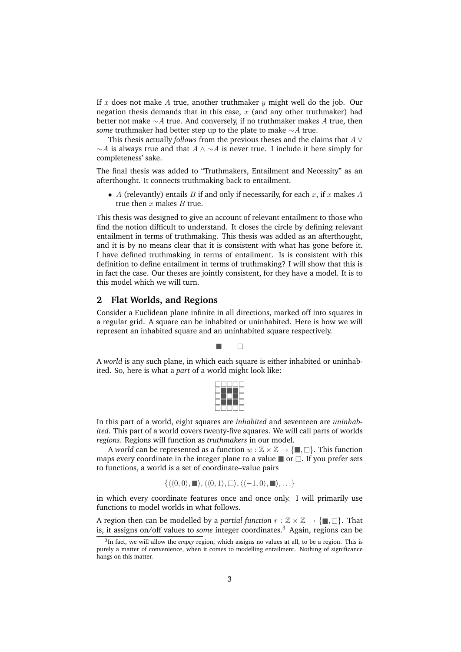If x does not make A true, another truthmaker y might well do the job. Our negation thesis demands that in this case,  $x$  (and any other truthmaker) had better not make ∼A true. And conversely, if no truthmaker makes A true, then *some* truthmaker had better step up to the plate to make ∼A true.

This thesis actually *follows* from the previous theses and the claims that A ∨  $\sim$ A is always true and that  $A \wedge \sim A$  is never true. I include it here simply for completeness' sake.

The final thesis was added to "Truthmakers, Entailment and Necessity" as an afterthought. It connects truthmaking back to entailment.

• A (relevantly) entails B if and only if necessarily, for each x, if x makes A true then  $x$  makes  $B$  true.

This thesis was designed to give an account of relevant entailment to those who find the notion difficult to understand. It closes the circle by defining relevant entailment in terms of truthmaking. This thesis was added as an afterthought, and it is by no means clear that it is consistent with what has gone before it. I have defined truthmaking in terms of entailment. Is is consistent with this definition to define entailment in terms of truthmaking? I will show that this is in fact the case. Our theses are jointly consistent, for they have a model. It is to this model which we will turn.

## **2 Flat Worlds, and Regions**

Consider a Euclidean plane infinite in all directions, marked off into squares in a regular grid. A square can be inhabited or uninhabited. Here is how we will represent an inhabited square and an uninhabited square respectively.

 $\blacksquare$ 

A *world* is any such plane, in which each square is either inhabited or uninhabited. So, here is what a *part* of a world might look like:

In this part of a world, eight squares are *inhabited* and seventeen are *uninhabited*. This part of a world covers twenty-five squares. We will call parts of worlds *regions*. Regions will function as *truthmakers* in our model.

A *world* can be represented as a function  $w : \mathbb{Z} \times \mathbb{Z} \to \{\blacksquare, \square\}$ . This function maps every coordinate in the integer plane to a value  $\blacksquare$  or  $\Box$ . If you prefer sets to functions, a world is a set of coordinate–value pairs

$$
\{\langle\langle 0,0\rangle,\blacksquare\rangle,\langle\langle 0,1\rangle,\square\rangle,\langle\langle -1,0\rangle,\blacksquare\rangle,\ldots\}
$$

in which every coordinate features once and once only. I will primarily use functions to model worlds in what follows.

A region then can be modelled by a *partial function*  $r : \mathbb{Z} \times \mathbb{Z} \to \{\blacksquare, \square\}$ . That is, it assigns on/off values to *some* integer coordinates.<sup>3</sup> Again, regions can be

<sup>3</sup> In fact, we will allow the *empty* region, which assigns no values at all, to be a region. This is purely a matter of convenience, when it comes to modelling entailment. Nothing of significance hangs on this matter.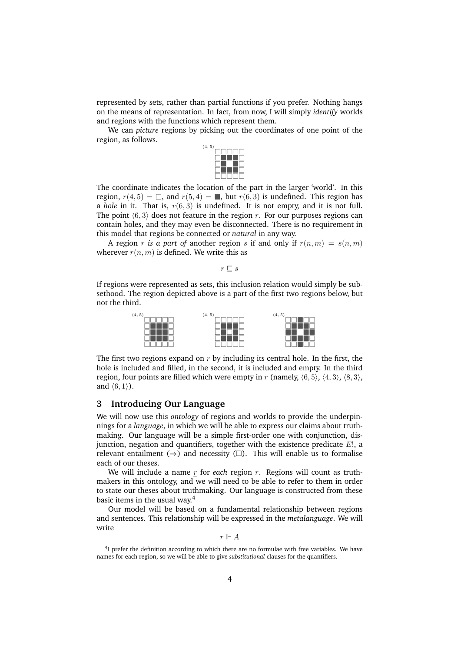represented by sets, rather than partial functions if you prefer. Nothing hangs on the means of representation. In fact, from now, I will simply *identify* worlds and regions with the functions which represent them.

We can *picture* regions by picking out the coordinates of one point of the region, as follows.



The coordinate indicates the location of the part in the larger 'world'. In this region,  $r(4, 5) = \Box$ , and  $r(5, 4) = \Box$ , but  $r(6, 3)$  is undefined. This region has a *hole* in it. That is,  $r(6, 3)$  is undefined. It is not empty, and it is not full. The point  $\langle 6, 3 \rangle$  does not feature in the region r. For our purposes regions can contain holes, and they may even be disconnected. There is no requirement in this model that regions be connected or *natural* in any way.

A region r *is a part of* another region s if and only if  $r(n,m) = s(n,m)$ wherever  $r(n, m)$  is defined. We write this as

 $r \sqsubset s$ 

If regions were represented as sets, this inclusion relation would simply be subsethood. The region depicted above is a part of the first two regions below, but not the third.



The first two regions expand on  $r$  by including its central hole. In the first, the hole is included and filled, in the second, it is included and empty. In the third region, four points are filled which were empty in r (namely,  $(6, 5)$ ,  $(4, 3)$ ,  $(8, 3)$ , and  $(6, 1)$ ).

#### **3 Introducing Our Language**

We will now use this *ontology* of regions and worlds to provide the underpinnings for a *language*, in which we will be able to express our claims about truthmaking. Our language will be a simple first-order one with conjunction, disjunction, negation and quantifiers, together with the existence predicate  $E!$ , a relevant entailment ( $\Rightarrow$ ) and necessity ( $\square$ ). This will enable us to formalise each of our theses.

We will include a name  $r$  for *each* region  $r$ . Regions will count as truthmakers in this ontology, and we will need to be able to refer to them in order to state our theses about truthmaking. Our language is constructed from these basic items in the usual way.<sup>4</sup>

Our model will be based on a fundamental relationship between regions and sentences. This relationship will be expressed in the *metalanguage*. We will write

 $r \Vdash A$ 

<sup>&</sup>lt;sup>4</sup>I prefer the definition according to which there are no formulae with free variables. We have names for each region, so we will be able to give *substitutional* clauses for the quantifiers.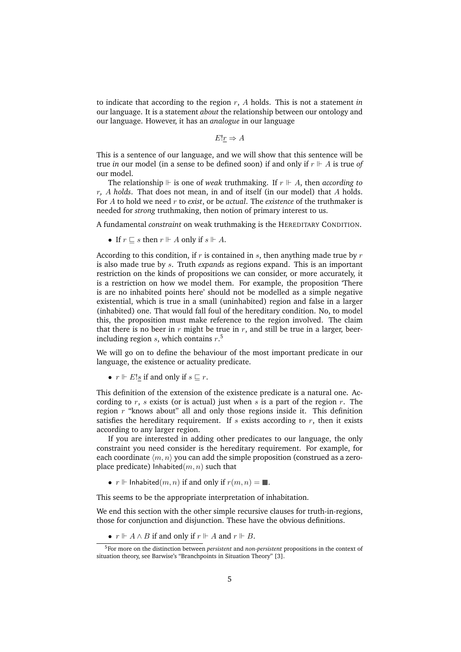to indicate that according to the region r, A holds. This is not a statement *in* our language. It is a statement *about* the relationship between our ontology and our language. However, it has an *analogue* in our language

 $E!r \Rightarrow A$ 

This is a sentence of our language, and we will show that this sentence will be true *in* our model (in a sense to be defined soon) if and only if  $r \Vdash A$  is true of our model.

The relationship  $\mathbb F$  is one of *weak* truthmaking. If  $r \mathbb F$  A, then *according to* r*,* A *holds*. That does not mean, in and of itself (in our model) that A holds. For A to hold we need r to *exist*, or be *actual*. The *existence* of the truthmaker is needed for *strong* truthmaking, then notion of primary interest to us.

A fundamental *constraint* on weak truthmaking is the HEREDITARY CONDITION.

• If  $r \sqsubseteq s$  then  $r \Vdash A$  only if  $s \Vdash A$ .

According to this condition, if  $r$  is contained in  $s$ , then anything made true by  $r$ is also made true by s. Truth *expands* as regions expand. This is an important restriction on the kinds of propositions we can consider, or more accurately, it is a restriction on how we model them. For example, the proposition 'There is are no inhabited points here' should not be modelled as a simple negative existential, which is true in a small (uninhabited) region and false in a larger (inhabited) one. That would fall foul of the hereditary condition. No, to model this, the proposition must make reference to the region involved. The claim that there is no beer in  $r$  might be true in  $r$ , and still be true in a larger, beerincluding region  $s$ , which contains  $r$ .<sup>5</sup>

We will go on to define the behaviour of the most important predicate in our language, the existence or actuality predicate.

•  $r \Vdash E!s$  if and only if  $s \sqsubseteq r$ .

This definition of the extension of the existence predicate is a natural one. According to  $r$ ,  $s$  exists (or is actual) just when  $s$  is a part of the region  $r$ . The region  $r$  "knows about" all and only those regions inside it. This definition satisfies the hereditary requirement. If  $s$  exists according to  $r$ , then it exists according to any larger region.

If you are interested in adding other predicates to our language, the only constraint you need consider is the hereditary requirement. For example, for each coordinate  $\langle m, n \rangle$  you can add the simple proposition (construed as a zeroplace predicate) Inhabited $(m, n)$  such that

•  $r \Vdash$  Inhabited $(m, n)$  if and only if  $r(m, n) = \blacksquare$ .

This seems to be the appropriate interpretation of inhabitation.

We end this section with the other simple recursive clauses for truth-in-regions, those for conjunction and disjunction. These have the obvious definitions.

•  $r \Vdash A \land B$  if and only if  $r \Vdash A$  and  $r \Vdash B$ .

<sup>5</sup>For more on the distinction between *persistent* and *non-persistent* propositions in the context of situation theory, see Barwise's "Branchpoints in Situation Theory" [3].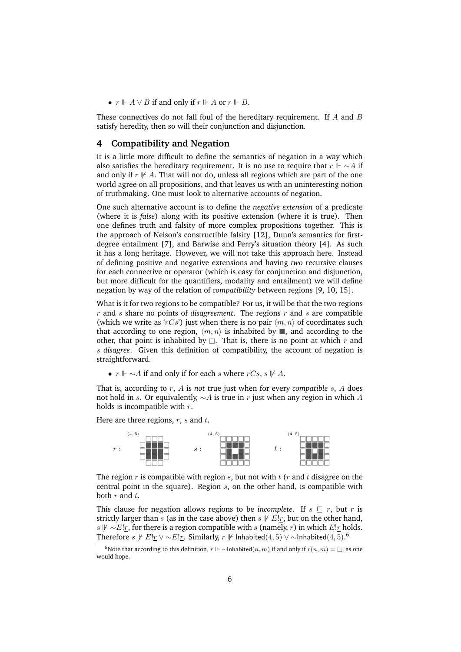•  $r \Vdash A \lor B$  if and only if  $r \Vdash A$  or  $r \Vdash B$ .

These connectives do not fall foul of the hereditary requirement. If A and B satisfy heredity, then so will their conjunction and disjunction.

### **4 Compatibility and Negation**

It is a little more difficult to define the semantics of negation in a way which also satisfies the hereditary requirement. It is no use to require that  $r \Vdash \sim A$  if and only if  $r \not\vdash A$ . That will not do, unless all regions which are part of the one world agree on all propositions, and that leaves us with an uninteresting notion of truthmaking. One must look to alternative accounts of negation.

One such alternative account is to define the *negative extension* of a predicate (where it is *false*) along with its positive extension (where it is true). Then one defines truth and falsity of more complex propositions together. This is the approach of Nelson's constructible falsity [12], Dunn's semantics for firstdegree entailment [7], and Barwise and Perry's situation theory [4]. As such it has a long heritage. However, we will not take this approach here. Instead of defining positive and negative extensions and having *two* recursive clauses for each connective or operator (which is easy for conjunction and disjunction, but more difficult for the quantifiers, modality and entailment) we will define negation by way of the relation of *compatibility* between regions [9, 10, 15].

What is it for two regions to be compatible? For us, it will be that the two regions  $r$  and  $s$  share no points of *disagreement*. The regions  $r$  and  $s$  are compatible (which we write as 'rCs') just when there is no pair  $\langle m, n \rangle$  of coordinates such that according to one region,  $\langle m, n \rangle$  is inhabited by , and according to the other, that point is inhabited by  $\Box$ . That is, there is no point at which r and s *disagree*. Given this definition of compatibility, the account of negation is straightforward.

•  $r \Vdash \sim A$  if and only if for each s where  $rCs$ ,  $s \Vdash A$ .

That is, according to r, A is *not* true just when for every *compatible* s, A does not hold in s. Or equivalently,  $\sim A$  is true in r just when any region in which A holds is incompatible with  $r$ .

Here are three regions,  $r$ ,  $s$  and  $t$ .



The region  $r$  is compatible with region  $s$ , but not with  $t$  ( $r$  and  $t$  disagree on the central point in the square). Region  $s$ , on the other hand, is compatible with both  $r$  and  $t$ .

This clause for negation allows regions to be *incomplete*. If  $s \subseteq r$ , but r is strictly larger than s (as in the case above) then  $s \not\vdash E!r$ , but on the other hand, s  $\mathcal{F}$  ∼E!r, for there is a region compatible with s (namely, r) in which E!r holds. Therefore  $s \not\Vdash E!_T \vee \sim E!_T$ . Similarly,  $r \not\Vdash$  Inhabited $(4,5) \vee \sim$ Inhabited $(4,5)$ .<sup>6</sup>

<sup>&</sup>lt;sup>6</sup>Note that according to this definition,  $r \Vdash \sim$ Inhabited(n, m) if and only if  $r(n,m) = \Box$ , as one would hope.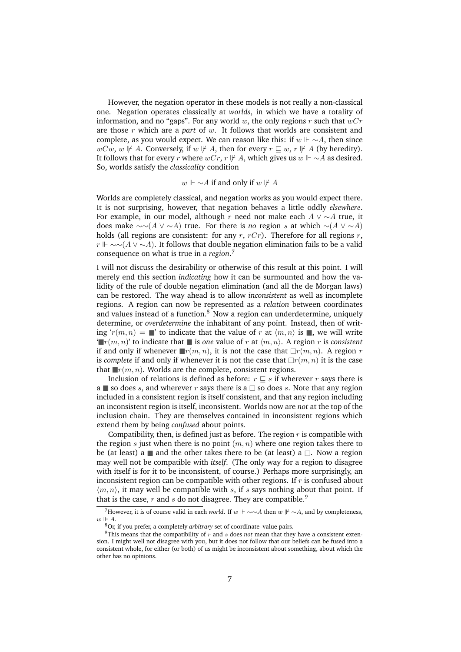However, the negation operator in these models is not really a non-classical one. Negation operates classically at *worlds*, in which we have a totality of information, and no "gaps". For any world w, the only regions r such that  $wCr$ are those r which are a *part* of w. It follows that worlds are consistent and complete, as you would expect. We can reason like this: if  $w \Vdash \sim A$ , then since  $wCw, w \nVdash A$ . Conversely, if  $w \nVdash A$ , then for every  $r \sqsubseteq w$ ,  $r \nVdash A$  (by heredity). It follows that for every r where  $wCr$ ,  $r \not\vdash A$ , which gives us  $w \not\vdash \sim A$  as desired. So, worlds satisfy the *classicality* condition

#### $w \Vdash \sim A$  if and only if  $w \Vdash A$

Worlds are completely classical, and negation works as you would expect there. It is not surprising, however, that negation behaves a little oddly *elsewhere*. For example, in our model, although r need not make each  $A \vee \sim A$  true, it does make  $\sim \sim(A \vee \sim A)$  true. For there is *no* region s at which  $\sim(A \vee \sim A)$ holds (all regions are consistent: for any  $r$ ,  $rCr$ ). Therefore for all regions  $r$ ,  $r \Vdash \sim \sim (A \vee \sim A)$ . It follows that double negation elimination fails to be a valid consequence on what is true in a *region*. 7

I will not discuss the desirability or otherwise of this result at this point. I will merely end this section *indicating* how it can be surmounted and how the validity of the rule of double negation elimination (and all the de Morgan laws) can be restored. The way ahead is to allow *inconsistent* as well as incomplete regions. A region can now be represented as a *relation* between coordinates and values instead of a function. $8\text{ Now a region can underdetermine, uniquely}$ determine, or *overdetermine* the inhabitant of any point. Instead, then of writing ' $r(m, n) = \mathbb{r}$ ' to indicate that the value of r at  $\langle m, n \rangle$  is , we will write  $\mathbb{E}[r(m, n)]$  to indicate that **i** is one value of r at  $\langle m, n \rangle$ . A region r is *consistent* if and only if whenever  $\mathbb{P}(m, n)$ , it is not the case that  $\Box r(m, n)$ . A region r is *complete* if and only if whenever it is not the case that  $\Box r(m, n)$  it is the case that  $\blacksquare r(m, n)$ . Worlds are the complete, consistent regions.

Inclusion of relations is defined as before:  $r \sqsubseteq s$  if wherever r says there is a so does s, and wherever r says there is a  $\Box$  so does s. Note that any region included in a consistent region is itself consistent, and that any region including an inconsistent region is itself, inconsistent. Worlds now are *not* at the top of the inclusion chain. They are themselves contained in inconsistent regions which extend them by being *confused* about points.

Compatibility, then, is defined just as before. The region  $r$  is compatible with the region  $s$  just when there is no point  $(m, n)$  where one region takes there to be (at least) a  $\blacksquare$  and the other takes there to be (at least) a  $\Box$ . Now a region may well not be compatible with *itself*. (The only way for a region to disagree with itself is for it to be inconsistent, of course.) Perhaps more surprisingly, an inconsistent region can be compatible with other regions. If  $r$  is confused about  $\langle m, n \rangle$ , it may well be compatible with s, if s says nothing about that point. If that is the case, r and s do not disagree. They are compatible.<sup>9</sup>

<sup>&</sup>lt;sup>7</sup>However, it is of course valid in each *world*. If  $w \Vdash \sim \sim A$  then  $w \nvDash \sim A$ , and by completeness,  $w \Vdash A$ .

<sup>8</sup>Or, if you prefer, a completely *arbitrary* set of coordinate–value pairs.

 $9$ This means that the compatibility of  $r$  and  $s$  does *not* mean that they have a consistent extension. I might well not disagree with you, but it does not follow that our beliefs can be fused into a consistent whole, for either (or both) of us might be inconsistent about something, about which the other has no opinions.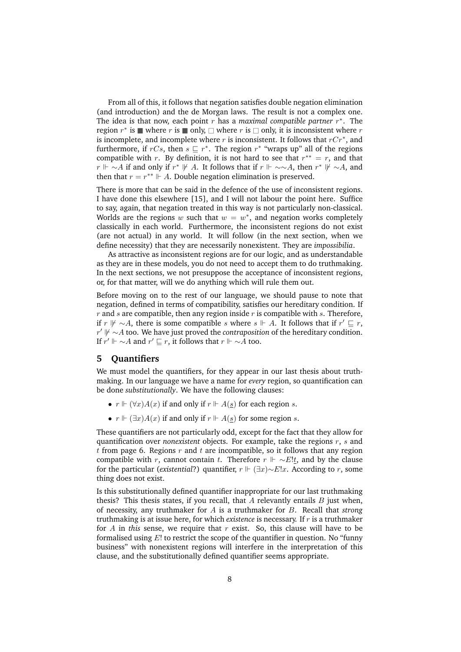From all of this, it follows that negation satisfies double negation elimination (and introduction) and the de Morgan laws. The result is not a complex one. The idea is that now, each point  $r$  has a *maximal compatible partner*  $r^*$ . The region  $r^*$  is  $\blacksquare$  where  $r$  is  $\blacksquare$  only,  $\Box$  where  $r$  is  $\Box$  only, it is inconsistent where  $r$ is incomplete, and incomplete where  $r$  is inconsistent. It follows that  $rCr^*$ , and furthermore, if rCs, then  $s \sqsubseteq r^*$ . The region  $r^*$  "wraps up" all of the regions compatible with r. By definition, it is not hard to see that  $r^{**} = r$ , and that  $r \Vdash \sim A$  if and only if  $r^* \Vdash A$ . It follows that if  $r \Vdash \sim \sim A$ , then  $r^* \Vdash \sim A$ , and then that  $r = r^{**} \Vdash A$ . Double negation elimination is preserved.

There is more that can be said in the defence of the use of inconsistent regions. I have done this elsewhere [15], and I will not labour the point here. Suffice to say, again, that negation treated in this way is not particularly non-classical. Worlds are the regions w such that  $w = w^*$ , and negation works completely classically in each world. Furthermore, the inconsistent regions do not exist (are not actual) in any world. It will follow (in the next section, when we define necessity) that they are necessarily nonexistent. They are *impossibilia*.

As attractive as inconsistent regions are for our logic, and as understandable as they are in these models, you do not need to accept them to do truthmaking. In the next sections, we not presuppose the acceptance of inconsistent regions, or, for that matter, will we do anything which will rule them out.

Before moving on to the rest of our language, we should pause to note that negation, defined in terms of compatibility, satisfies our hereditary condition. If  $r$  and  $s$  are compatible, then any region inside  $r$  is compatible with  $s$ . Therefore, if r  $\mathcal{V}$  ∼A, there is some compatible s where s  $\mathcal{V}$  + A. It follows that if  $r' \sqsubseteq r$ , *r'*  $\sharp' \sim A$  too. We have just proved the *contraposition* of the hereditary condition. If  $r' \Vdash \sim A$  and  $r' \sqsubseteq r$ , it follows that  $r \Vdash \sim \overline{A}$  too.

## **5 Quantifiers**

We must model the quantifiers, for they appear in our last thesis about truthmaking. In our language we have a name for *every* region, so quantification can be done *substitutionally*. We have the following clauses:

- $r \Vdash (\forall x) A(x)$  if and only if  $r \Vdash A(\underline{s})$  for each region s.
- $r \Vdash (\exists x) A(x)$  if and only if  $r \Vdash A(\underline{s})$  for some region s.

These quantifiers are not particularly odd, except for the fact that they allow for quantification over *nonexistent* objects. For example, take the regions r, s and t from page 6. Regions  $r$  and  $t$  are incompatible, so it follows that any region compatible with r, cannot contain t. Therefore  $r \Vdash \sim E!t$ , and by the clause for the particular (*existential*?) quantifier,  $r \Vdash (\exists x) \sim E!x$ . According to r, some thing does not exist.

Is this substitutionally defined quantifier inappropriate for our last truthmaking thesis? This thesis states, if you recall, that  $A$  relevantly entails  $B$  just when, of necessity, any truthmaker for A is a truthmaker for B. Recall that *strong* truthmaking is at issue here, for which *existence* is necessary. If r is a truthmaker for  $A$  in *this* sense, we require that  $r$  exist. So, this clause will have to be formalised using  $E!$  to restrict the scope of the quantifier in question. No "funny business" with nonexistent regions will interfere in the interpretation of this clause, and the substitutionally defined quantifier seems appropriate.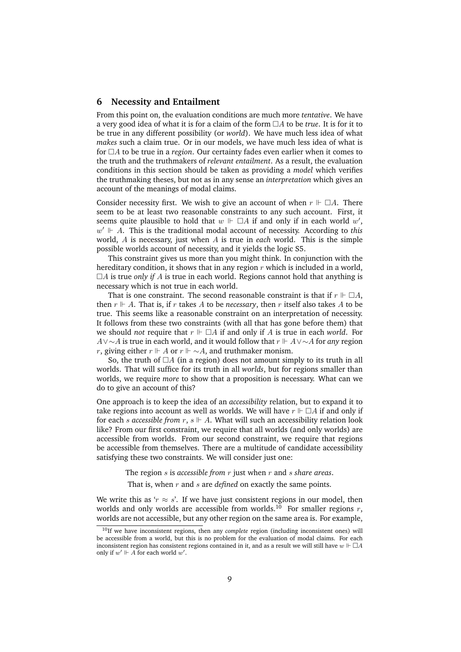### **6 Necessity and Entailment**

From this point on, the evaluation conditions are much more *tentative*. We have a very good idea of what it is for a claim of the form  $\Box A$  to be *true*. It is for it to be true in any different possibility (or *world*). We have much less idea of what *makes* such a claim true. Or in our models, we have much less idea of what is for  $\Box A$  to be true in a *region*. Our certainty fades even earlier when it comes to the truth and the truthmakers of *relevant entailment*. As a result, the evaluation conditions in this section should be taken as providing a *model* which verifies the truthmaking theses, but not as in any sense an *interpretation* which gives an account of the meanings of modal claims.

Consider necessity first. We wish to give an account of when  $r \Vdash \Box A$ . There seem to be at least two reasonable constraints to any such account. First, it seems quite plausible to hold that  $w \Vdash \Box A$  if and only if in each world  $w'$ ,  $w' \Vdash A$ . This is the traditional modal account of necessity. According to *this* world, A is necessary, just when A is true in *each* world. This is the simple possible worlds account of necessity, and it yields the logic S5.

This constraint gives us more than you might think. In conjunction with the hereditary condition, it shows that in any region  $r$  which is included in a world,  $\Box A$  is true *only if*  $A$  is true in each world. Regions cannot hold that anything is necessary which is not true in each world.

That is one constraint. The second reasonable constraint is that if  $r \Vdash \Box A$ , then  $r \Vdash A$ . That is, if r takes A to be *necessary*, then r itself also takes A to be true. This seems like a reasonable constraint on an interpretation of necessity. It follows from these two constraints (with all that has gone before them) that we should *not* require that  $r \Vdash \Box A$  if and only if A is true in each *world*. For A∨∼A is true in each world, and it would follow that  $r \Vdash A \vee \sim A$  for *any* region r, giving either  $r \Vdash A$  or  $r \Vdash \sim A$ , and truthmaker monism.

So, the truth of  $\Box A$  (in a region) does not amount simply to its truth in all worlds. That will suffice for its truth in all *worlds*, but for regions smaller than worlds, we require *more* to show that a proposition is necessary. What can we do to give an account of this?

One approach is to keep the idea of an *accessibility* relation, but to expand it to take regions into account as well as worlds. We will have  $r \Vdash \Box A$  if and only if for each *s* accessible from  $r, s \Vdash A$ . What will such an accessibility relation look like? From our first constraint, we require that all worlds (and only worlds) are accessible from worlds. From our second constraint, we require that regions be accessible from themselves. There are a multitude of candidate accessibility satisfying these two constraints. We will consider just one:

The region s is *accessible from* r just when r and s *share areas*.

That is, when r and s are *defined* on exactly the same points.

We write this as ' $r \approx s$ '. If we have just consistent regions in our model, then worlds and only worlds are accessible from worlds.<sup>10</sup> For smaller regions  $r$ , worlds are not accessible, but any other region on the same area is. For example,

<sup>10</sup>If we have inconsistent regions, then any *complete* region (including inconsistent ones) will be accessible from a world, but this is no problem for the evaluation of modal claims. For each inconsistent region has consistent regions contained in it, and as a result we will still have  $w \Vdash \Box A$ only if  $w' \Vdash A$  for each world w'.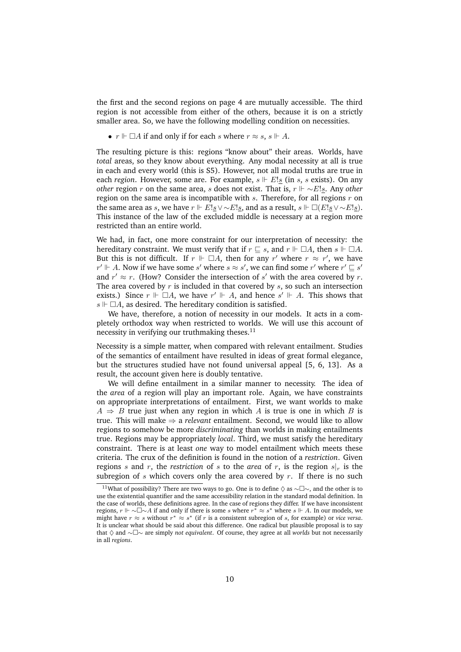the first and the second regions on page 4 are mutually accessible. The third region is not accessible from either of the others, because it is on a strictly smaller area. So, we have the following modelling condition on necessities.

•  $r \Vdash \Box A$  if and only if for each s where  $r \approx s$ ,  $s \Vdash A$ .

The resulting picture is this: regions "know about" their areas. Worlds, have *total* areas, so they know about everything. Any modal necessity at all is true in each and every world (this is S5). However, not all modal truths are true in each *region*. However, some are. For example,  $s \Vdash E!s$  (in s, s exists). On any *other* region r on the same area, s does not exist. That is,  $r \Vdash \sim E!_S$ . Any *other* region on the same area is incompatible with  $s$ . Therefore, for all regions  $r$  on the same area as s, we have  $r \Vdash E!_S \vee \sim E!_S$ , and as a result,  $s \Vdash \Box(E!_S \vee \sim E!_S)$ . This instance of the law of the excluded middle is necessary at a region more restricted than an entire world.

We had, in fact, one more constraint for our interpretation of necessity: the hereditary constraint. We must verify that if  $r \sqsubseteq s$ , and  $r \Vdash \Box A$ , then  $s \Vdash \Box A$ . But this is not difficult. If  $r \Vdash \Box A$ , then for any  $r'$  where  $r \approx r'$ , we have  $r' \Vdash A$ . Now if we have some s' where  $s \approx s'$ , we can find some  $r'$  where  $r' \sqsubseteq s'$ and  $r' \approx r$ . (How? Consider the intersection of s' with the area covered by r. The area covered by  $r$  is included in that covered by  $s$ , so such an intersection exists.) Since  $r \Vdash \Box A$ , we have  $r' \Vdash A$ , and hence  $s' \Vdash A$ . This shows that  $s \Vdash \Box A$ , as desired. The hereditary condition is satisfied.

We have, therefore, a notion of necessity in our models. It acts in a completely orthodox way when restricted to worlds. We will use this account of necessity in verifying our truthmaking theses. $11$ 

Necessity is a simple matter, when compared with relevant entailment. Studies of the semantics of entailment have resulted in ideas of great formal elegance, but the structures studied have not found universal appeal [5, 6, 13]. As a result, the account given here is doubly tentative.

We will define entailment in a similar manner to necessity. The idea of the *area* of a region will play an important role. Again, we have constraints on appropriate interpretations of entailment. First, we want worlds to make  $A \Rightarrow B$  true just when any region in which A is true is one in which B is true. This will make ⇒ a *relevant* entailment. Second, we would like to allow regions to somehow be more *discriminating* than worlds in making entailments true. Regions may be appropriately *local*. Third, we must satisfy the hereditary constraint. There is at least *one* way to model entailment which meets these criteria. The crux of the definition is found in the notion of a *restriction*. Given regions s and r, the *restriction* of s to the *area* of r, is the region  $s|_r$  is the subregion of s which covers only the area covered by  $r$ . If there is no such

<sup>&</sup>lt;sup>11</sup>What of possibility? There are two ways to go. One is to define  $\diamond$  as ∼ $\square$ ∼, and the other is to use the existential quantifier and the same accessibility relation in the standard modal definition. In the case of worlds, these definitions agree. In the case of regions they differ. If we have inconsistent regions,  $r \Vdash \sim \Box \sim A$  if and only if there is some s where  $r^* \approx s^*$  where  $s \Vdash A$ . In our models, we might have  $r \approx s$  without  $r^* \approx s^*$  (if r is a consistent subregion of s, for example) or *vice versa*. It is unclear what should be said about this difference. One radical but plausible proposal is to say that ♦ and ∼∼ are simply *not equivalent*. Of course, they agree at all *worlds* but not necessarily in all *regions*.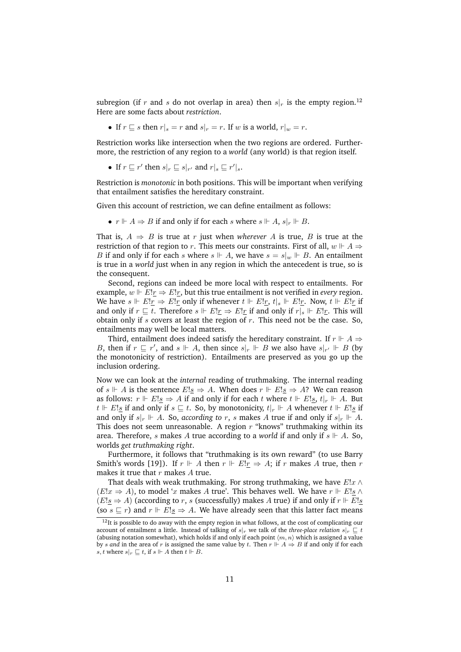subregion (if r and s do not overlap in area) then  $s|_r$  is the empty region.<sup>12</sup> Here are some facts about *restriction*.

• If  $r \sqsubseteq s$  then  $r|_s = r$  and  $s|_r = r$ . If w is a world,  $r|_w = r$ .

Restriction works like intersection when the two regions are ordered. Furthermore, the restriction of any region to a *world* (any world) is that region itself.

• If  $r \sqsubseteq r'$  then  $s|_r \sqsubseteq s|_{r'}$  and  $r|_s \sqsubseteq r'|_s$ .

Restriction is *monotonic* in both positions. This will be important when verifying that entailment satisfies the hereditary constraint.

Given this account of restriction, we can define entailment as follows:

•  $r \Vdash A \Rightarrow B$  if and only if for each s where  $s \Vdash A$ ,  $s|_r \Vdash B$ .

That is,  $A \Rightarrow B$  is true at r just when *wherever* A is true, B is true at the restriction of that region to r. This meets our constraints. First of all,  $w \Vdash A \Rightarrow$ B if and only if for each s where  $s \Vdash A$ , we have  $s = s|_w \Vdash B$ . An entailment is true in a *world* just when in any region in which the antecedent is true, so is the consequent.

Second, regions can indeed be more local with respect to entailments. For example,  $w \Vdash E!r \Rightarrow E!r$ , but this true entailment is not verified in *every* region. We have  $s \Vdash E!_{\underline{r}} \Rightarrow E!_{\underline{r}}$  only if whenever  $t \Vdash E!_{\underline{r}}$ ,  $t|_s \Vdash E!_{\underline{r}}$ . Now,  $t \Vdash E!_{\underline{r}}$  if and only if  $r \subseteq t$ . Therefore  $s \Vdash E!r \Rightarrow E!r$  if and only if  $r|s \Vdash E!r$ . This will obtain only if  $s$  covers at least the region of  $r$ . This need not be the case. So, entailments may well be local matters.

Third, entailment does indeed satisfy the hereditary constraint. If  $r \Vdash A \Rightarrow$ B, then if  $r \subseteq r'$ , and  $s \Vdash A$ , then since  $s|_r \Vdash B$  we also have  $s|_{r'} \Vdash B$  (by the monotonicity of restriction). Entailments are preserved as you go up the inclusion ordering.

Now we can look at the *internal* reading of truthmaking. The internal reading of  $s \Vdash A$  is the sentence  $E!_s \Rightarrow A$ . When does  $r \Vdash E!_s \Rightarrow A$ ? We can reason as follows:  $r \Vdash E!_S \Rightarrow A$  if and only if for each t where  $t \Vdash E!_S$ ,  $t|_r \Vdash A$ . But  $t \Vdash E!_S$  if and only if  $s \sqsubseteq t$ . So, by monotonicity,  $t|_r \Vdash A$  whenever  $t \Vdash E!_S$  if and only if  $s|_r \Vdash A$ . So, *according to* r, *s* makes A true if and only if  $s|_r \Vdash A$ . This does not seem unreasonable. A region  $r$  "knows" truthmaking within its area. Therefore, s makes A true according to a *world* if and only if  $s \Vdash A$ . So, worlds *get truthmaking right*.

Furthermore, it follows that "truthmaking is its own reward" (to use Barry Smith's words [19]). If  $r \Vdash A$  then  $r \Vdash E!r \Rightarrow A$ ; if  $r$  makes A true, then  $r$ makes it true that  $r$  makes  $A$  true.

That deals with weak truthmaking. For strong truthmaking, we have  $E!x \wedge y$  $(E!x \Rightarrow A)$ , to model 'x makes A true'. This behaves well. We have  $r \Vdash E!s$  ∧  $(E!_S$  ⇒ A) (according to r, s (successfully) makes A true) if and only if r  $⊩ E!_S$ (so  $s \subseteq r$ ) and  $r \Vdash E!s \Rightarrow A$ . We have already seen that this latter fact means

 $12$ It is possible to do away with the empty region in what follows, at the cost of complicating our account of entailment a little. Instead of talking of  $s|_r$  we talk of the *three-place relation*  $s|_r \nightharpoonup t$ (abusing notation somewhat), which holds if and only if each point  $\langle m, n \rangle$  which is assigned a value by *s* and in the area of *r* is assigned the same value by *t*. Then  $r \Vdash A \Rightarrow B$  if and only if for each s, t where  $s|_r \sqsubseteq t$ , if  $s \Vdash A$  then  $t \Vdash B$ .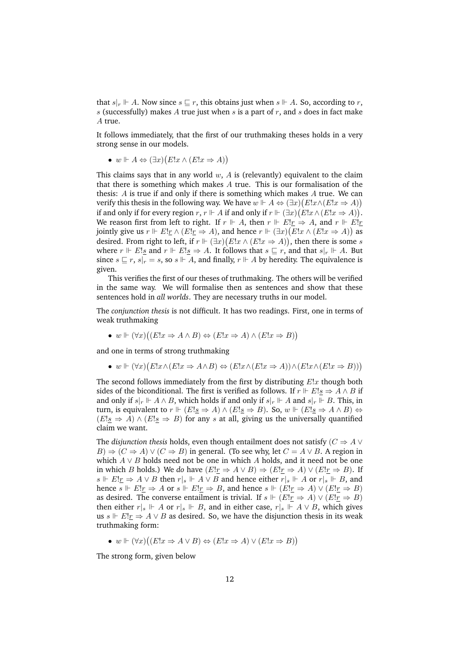that  $s|_r \Vdash A$ . Now since  $s \sqsubseteq r$ , this obtains just when  $s \Vdash A$ . So, according to r, s (successfully) makes A true just when s is a part of r, and s does in fact make A true.

It follows immediately, that the first of our truthmaking theses holds in a very strong sense in our models.

•  $w \Vdash A \Leftrightarrow (\exists x)(E!x \wedge (E!x \Rightarrow A))$ 

This claims says that in any world  $w$ ,  $A$  is (relevantly) equivalent to the claim that there is something which makes  $A$  true. This is our formalisation of the thesis: A is true if and only if there is something which makes A true. We can verify this thesis in the following way. We have  $w \Vdash A \Leftrightarrow (\exists x)(E!x \wedge (E!x \Rightarrow A))$ if and only if for every region  $r, r \Vdash A$  if and only if  $r \Vdash (\exists x)(E!x \land (E!x \Rightarrow A)).$ We reason first from left to right. If  $r \Vdash A$ , then  $r \Vdash E!r \Rightarrow A$ , and  $r \Vdash E!r$ jointly give us  $r \Vdash E!_{\mathcal{I}} \wedge (E!_{\mathcal{I}} \Rightarrow A)$ , and hence  $r \Vdash (\exists x)(E!_{\mathcal{X}} \wedge (E!_{\mathcal{X}} \Rightarrow A))$  as desired. From right to left, if  $r \Vdash (\exists x)(E!x \land (E!x \Rightarrow A))$ , then there is some s where  $r \Vdash E!_S$  and  $r \Vdash E!_S \Rightarrow A$ . It follows that  $s \sqsubseteq r$ , and that  $s|_r \Vdash A$ . But since  $s \sqsubseteq r$ ,  $s|_r = s$ , so  $s \Vdash A$ , and finally,  $r \Vdash A$  by heredity. The equivalence is given.

This verifies the first of our theses of truthmaking. The others will be verified in the same way. We will formalise then as sentences and show that these sentences hold in *all worlds*. They are necessary truths in our model.

The *conjunction thesis* is not difficult. It has two readings. First, one in terms of weak truthmaking

•  $w \Vdash (\forall x) ((E!x \Rightarrow A \land B) \Leftrightarrow (E!x \Rightarrow A) \land (E!x \Rightarrow B))$ 

and one in terms of strong truthmaking

•  $w \Vdash (\forall x)(E!x \land (E!x \Rightarrow A \land B) \Leftrightarrow (E!x \land (E!x \Rightarrow A)) \land (E!x \land (E!x \Rightarrow B)))$ 

The second follows immediately from the first by distributing  $E!x$  though both sides of the biconditional. The first is verified as follows. If  $r \Vdash E!s \Rightarrow A \wedge B$  if and only if  $s|_r \Vdash A \wedge B$ , which holds if and only if  $s|_r \Vdash A$  and  $s|_r \Vdash B$ . This, in turn, is equivalent to  $r \Vdash (E!_S \Rightarrow A) \land (E!_S \Rightarrow B)$ . So,  $w \Vdash (E!_S \Rightarrow A \land B) \Leftrightarrow$  $(E!_S \Rightarrow A) \wedge (E!_S \Rightarrow B)$  for any s at all, giving us the universally quantified claim we want.

The *disjunction thesis* holds, even though entailment does not satisfy ( $C \Rightarrow A \vee$  $B) \Rightarrow (C \Rightarrow A) \vee (C \Rightarrow B)$  in general. (To see why, let  $C = A \vee B$ . A region in which  $A \vee B$  holds need not be one in which A holds, and it need not be one in which *B* holds.) We *do* have  $(E!_T \Rightarrow A \vee B) \Rightarrow (E!_T \Rightarrow A) \vee (E!_T \Rightarrow B)$ . If s  $\Vdash E!$   $\uparrow$  ⇒  $A \lor B$  then  $r|_s \Vdash A \lor B$  and hence either  $r|_s \Vdash A$  or  $r|_s \Vdash B$ , and hence  $s \Vdash E!r \Rightarrow A$  or  $s \Vdash E!r \Rightarrow B$ , and hence  $s \Vdash (E!r \Rightarrow A) \vee (E!r \Rightarrow B)$ as desired. The converse entailment is trivial. If  $s \Vdash (E! \underline{r} \Rightarrow A) \vee (E! \underline{r} \Rightarrow B)$ then either  $r|_s \Vdash A$  or  $r|_s \Vdash B$ , and in either case,  $r|_s \Vdash A \vee B$ , which gives us s  $⊩ E!r \Rightarrow A ∨ B$  as desired. So, we have the disjunction thesis in its weak truthmaking form:

•  $w \Vdash (\forall x) ((E!x \Rightarrow A \lor B) \Leftrightarrow (E!x \Rightarrow A) \lor (E!x \Rightarrow B))$ 

The strong form, given below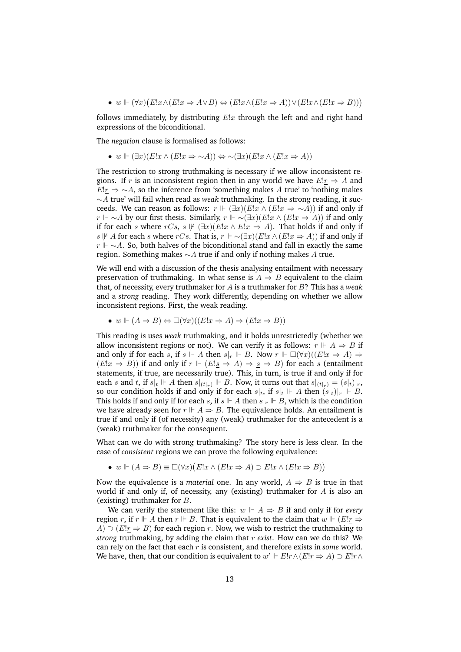•  $w \Vdash (\forall x)(E!x \land (E!x \Rightarrow A \lor B) \Leftrightarrow (E!x \land (E!x \Rightarrow A)) \lor (E!x \land (E!x \Rightarrow B)))$ 

follows immediately, by distributing  $E|x|$  through the left and and right hand expressions of the biconditional.

The *negation* clause is formalised as follows:

• w  $\vdash (\exists x)(E!x \land (E!x \Rightarrow \sim A)) \Leftrightarrow \sim (\exists x)(E!x \land (E!x \Rightarrow A))$ 

The restriction to strong truthmaking is necessary if we allow inconsistent regions. If r is an inconsistent region then in any world we have  $E!_r \Rightarrow A$  and  $E!_{\Gamma} \Rightarrow \sim A$ , so the inference from 'something makes A true' to 'nothing makes ∼A true' will fail when read as *weak* truthmaking. In the strong reading, it succeeds. We can reason as follows:  $r \Vdash (\exists x)(E!x \wedge (E!x \Rightarrow \sim A))$  if and only if  $r \Vdash \sim A$  by our first thesis. Similarly,  $r \Vdash \sim (\exists x)(E!x \land (E!x \Rightarrow A))$  if and only if for each s where  $rCs$ ,  $s \not\Vdash (\exists x)(E!x \wedge E!x \Rightarrow A)$ . That holds if and only if s  $\sharp$  A for each s where rCs. That is, r  $\Vdash \sim(\exists x)(E!x \land (E!x \Rightarrow A))$  if and only if  $r \Vdash \sim A$ . So, both halves of the biconditional stand and fall in exactly the same region. Something makes  $∼A$  true if and only if nothing makes A true.

We will end with a discussion of the thesis analysing entailment with necessary preservation of truthmaking. In what sense is  $A \Rightarrow B$  equivalent to the claim that, of necessity, every truthmaker for A is a truthmaker for B? This has a *weak* and a *strong* reading. They work differently, depending on whether we allow inconsistent regions. First, the weak reading.

•  $w \Vdash (A \Rightarrow B) \Leftrightarrow \Box(\forall x)((E!x \Rightarrow A) \Rightarrow (E!x \Rightarrow B))$ 

This reading is uses *weak* truthmaking, and it holds unrestrictedly (whether we allow inconsistent regions or not). We can verify it as follows:  $r \Vdash A \Rightarrow B$  if and only if for each s, if  $s \Vdash A$  then  $s|_r \Vdash B$ . Now  $r \Vdash \Box(\forall x)((E!x \Rightarrow A) \Rightarrow$  $(E!x \Rightarrow B)$ ) if and only if  $r \Vdash (E!s \Rightarrow A) \Rightarrow s \Rightarrow B$ ) for each s (entailment statements, if true, are necessarily true). This, in turn, is true if and only if for each s and t, if  $s|_t \Vdash A$  then  $s|_{(t|r)} \Vdash B$ . Now, it turns out that  $s|_{(t|r)} = (s|_t)|_r$ , so our condition holds if and only if for each  $s|_t$ , if  $s|_t \Vdash A$  then  $(s|_t)|_r \Vdash B$ . This holds if and only if for each s, if  $s \Vdash A$  then  $s|_r \Vdash B$ , which is the condition we have already seen for  $r \Vdash A \Rightarrow B$ . The equivalence holds. An entailment is true if and only if (of necessity) any (weak) truthmaker for the antecedent is a (weak) truthmaker for the consequent.

What can we do with strong truthmaking? The story here is less clear. In the case of *consistent* regions we can prove the following equivalence:

•  $w \Vdash (A \Rightarrow B) \equiv \Box(\forall x)(E!x \land (E!x \Rightarrow A) \supset E!x \land (E!x \Rightarrow B))$ 

Now the equivalence is a *material* one. In any world,  $A \Rightarrow B$  is true in that world if and only if, of necessity, any (existing) truthmaker for A is also an (existing) truthmaker for B.

We can verify the statement like this:  $w \Vdash A \Rightarrow B$  if and only if for *every* region r, if  $r \Vdash A$  then  $r \Vdash B$ . That is equivalent to the claim that  $w \Vdash (E!_T \Rightarrow$  $A)$  ⊃ ( $E!_{\text{r}} \Rightarrow B$ ) for each region r. Now, we wish to restrict the truthmaking to *strong* truthmaking, by adding the claim that r *exist*. How can we do this? We can rely on the fact that each r is consistent, and therefore exists in *some* world. We have, then, that our condition is equivalent to  $w' \Vdash E!_{\Gamma} \wedge (E!_{\Gamma} \Rightarrow A) \supset E!_{\Gamma} \wedge$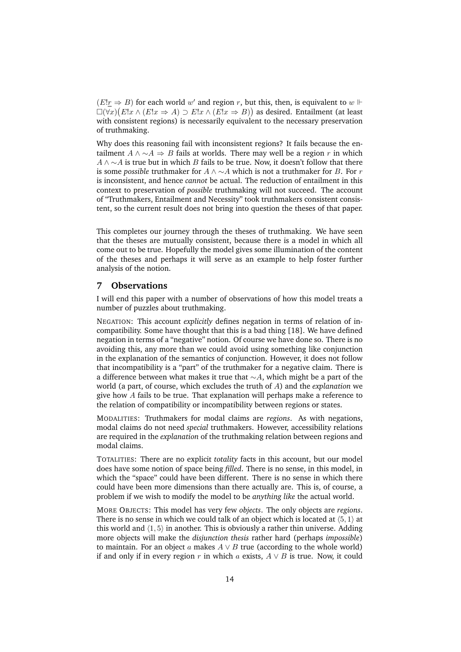$(E!_T \Rightarrow B)$  for each world w' and region r, but this, then, is equivalent to w ⊩  $\Box(\forall x)(E!x \land (E!x \Rightarrow A) \supset E!x \land (E!x \Rightarrow B))$  as desired. Entailment (at least with consistent regions) is necessarily equivalent to the necessary preservation of truthmaking.

Why does this reasoning fail with inconsistent regions? It fails because the entailment  $A \land \neg A \Rightarrow B$  fails at worlds. There may well be a region r in which  $A \wedge \sim A$  is true but in which B fails to be true. Now, it doesn't follow that there is some *possible* truthmaker for  $A \wedge \neg A$  which is not a truthmaker for B. For r is inconsistent, and hence *cannot* be actual. The reduction of entailment in this context to preservation of *possible* truthmaking will not succeed. The account of "Truthmakers, Entailment and Necessity" took truthmakers consistent consistent, so the current result does not bring into question the theses of that paper.

This completes our journey through the theses of truthmaking. We have seen that the theses are mutually consistent, because there is a model in which all come out to be true. Hopefully the model gives some illumination of the content of the theses and perhaps it will serve as an example to help foster further analysis of the notion.

## **7 Observations**

I will end this paper with a number of observations of how this model treats a number of puzzles about truthmaking.

NEGATION: This account *explicitly* defines negation in terms of relation of incompatibility. Some have thought that this is a bad thing [18]. We have defined negation in terms of a "negative" notion. Of course we have done so. There is no avoiding this, any more than we could avoid using something like conjunction in the explanation of the semantics of conjunction. However, it does not follow that incompatibility is a "part" of the truthmaker for a negative claim. There is a difference between what makes it true that  $\sim A$ , which might be a part of the world (a part, of course, which excludes the truth of A) and the *explanation* we give how A fails to be true. That explanation will perhaps make a reference to the relation of compatibility or incompatibility between regions or states.

MODALITIES: Truthmakers for modal claims are *regions*. As with negations, modal claims do not need *special* truthmakers. However, accessibility relations are required in the *explanation* of the truthmaking relation between regions and modal claims.

TOTALITIES: There are no explicit *totality* facts in this account, but our model does have some notion of space being *filled*. There is no sense, in this model, in which the "space" could have been different. There is no sense in which there could have been more dimensions than there actually are. This is, of course, a problem if we wish to modify the model to be *anything like* the actual world.

MORE OBJECTS: This model has very few *objects*. The only objects are *regions*. There is no sense in which we could talk of an object which is located at  $(5, 1)$  at this world and  $\langle 1, 5 \rangle$  in another. This is obviously a rather thin universe. Adding more objects will make the *disjunction thesis* rather hard (perhaps *impossible*) to maintain. For an object a makes  $A \vee B$  true (according to the whole world) if and only if in every region r in which a exists,  $A \vee B$  is true. Now, it could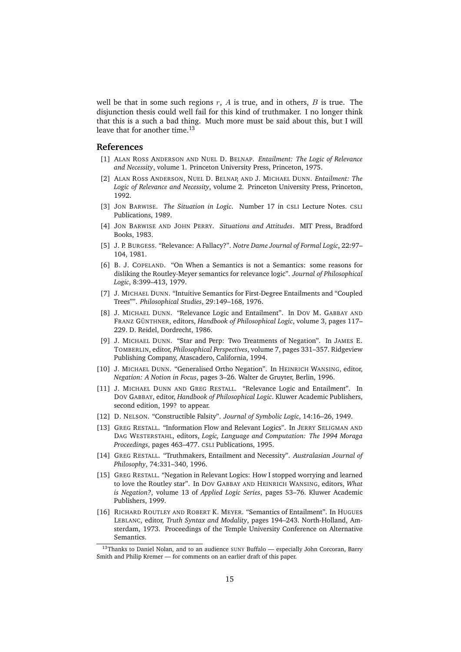well be that in some such regions  $r$ ,  $A$  is true, and in others,  $B$  is true. The disjunction thesis could well fail for this kind of truthmaker. I no longer think that this is a such a bad thing. Much more must be said about this, but I will leave that for another time.<sup>13</sup>

#### **References**

- [1] ALAN ROSS ANDERSON AND NUEL D. BELNAP. *Entailment: The Logic of Relevance and Necessity*, volume 1. Princeton University Press, Princeton, 1975.
- [2] ALAN ROSS ANDERSON, NUEL D. BELNAP, AND J. MICHAEL DUNN. *Entailment: The Logic of Relevance and Necessity*, volume 2. Princeton University Press, Princeton, 1992.
- [3] JON BARWISE. *The Situation in Logic*. Number 17 in CSLI Lecture Notes. CSLI Publications, 1989.
- [4] JON BARWISE AND JOHN PERRY. *Situations and Attitudes*. MIT Press, Bradford Books, 1983.
- [5] J. P. BURGESS. "Relevance: A Fallacy?". *Notre Dame Journal of Formal Logic*, 22:97– 104, 1981.
- [6] B. J. COPELAND. "On When a Semantics is not a Semantics: some reasons for disliking the Routley-Meyer semantics for relevance logic". *Journal of Philosophical Logic*, 8:399–413, 1979.
- [7] J. MICHAEL DUNN. "Intuitive Semantics for First-Degree Entailments and "Coupled Trees"". *Philosophical Studies*, 29:149–168, 1976.
- [8] J. MICHAEL DUNN. "Relevance Logic and Entailment". In DOV M. GABBAY AND FRANZ GÜNTHNER, editors, *Handbook of Philosophical Logic*, volume 3, pages 117– 229. D. Reidel, Dordrecht, 1986.
- [9] J. MICHAEL DUNN. "Star and Perp: Two Treatments of Negation". In JAMES E. TOMBERLIN, editor, *Philosophical Perspectives*, volume 7, pages 331–357. Ridgeview Publishing Company, Atascadero, California, 1994.
- [10] J. MICHAEL DUNN. "Generalised Ortho Negation". In HEINRICH WANSING, editor, *Negation: A Notion in Focus*, pages 3–26. Walter de Gruyter, Berlin, 1996.
- [11] J. MICHAEL DUNN AND GREG RESTALL. "Relevance Logic and Entailment". In DOV GABBAY, editor, *Handbook of Philosophical Logic*. Kluwer Academic Publishers, second edition, 199? to appear.
- [12] D. NELSON. "Constructible Falsity". *Journal of Symbolic Logic*, 14:16–26, 1949.
- [13] GREG RESTALL. "Information Flow and Relevant Logics". In JERRY SELIGMAN AND DAG WESTERSTAHL, editors, *Logic, Language and Computation: The 1994 Moraga Proceedings*, pages 463–477. CSLI Publications, 1995.
- [14] GREG RESTALL. "Truthmakers, Entailment and Necessity". *Australasian Journal of Philosophy*, 74:331–340, 1996.
- [15] GREG RESTALL. "Negation in Relevant Logics: How I stopped worrying and learned to love the Routley star". In DOV GABBAY AND HEINRICH WANSING, editors, *What is Negation?*, volume 13 of *Applied Logic Series*, pages 53–76. Kluwer Academic Publishers, 1999.
- [16] RICHARD ROUTLEY AND ROBERT K. MEYER. "Semantics of Entailment". In HUGUES LEBLANC, editor, *Truth Syntax and Modality*, pages 194–243. North-Holland, Amsterdam, 1973. Proceedings of the Temple University Conference on Alternative Semantics.

<sup>&</sup>lt;sup>13</sup>Thanks to Daniel Nolan, and to an audience SUNY Buffalo — especially John Corcoran, Barry Smith and Philip Kremer — for comments on an earlier draft of this paper.